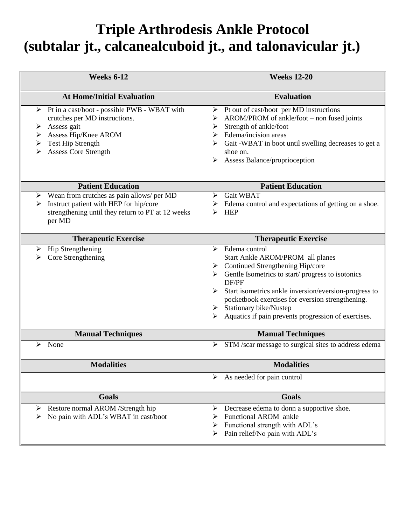## **Triple Arthrodesis Ankle Protocol (subtalar jt., calcanealcuboid jt., and talonavicular jt.)**

| <b>Weeks 6-12</b>                                                                                                                                                                                | <b>Weeks 12-20</b>                                                                                                                                                                                                                                                                                                                                                                                               |
|--------------------------------------------------------------------------------------------------------------------------------------------------------------------------------------------------|------------------------------------------------------------------------------------------------------------------------------------------------------------------------------------------------------------------------------------------------------------------------------------------------------------------------------------------------------------------------------------------------------------------|
| <b>At Home/Initial Evaluation</b>                                                                                                                                                                | <b>Evaluation</b>                                                                                                                                                                                                                                                                                                                                                                                                |
| > Pt in a cast/boot - possible PWB - WBAT with<br>crutches per MD instructions.<br>Assess gait<br>➤<br>Assess Hip/Knee AROM<br>➤<br><b>Test Hip Strength</b><br>➤<br><b>Assess Core Strength</b> | $\triangleright$ Pt out of cast/boot per MD instructions<br>AROM/PROM of ankle/foot – non fused joints<br>➤<br>Strength of ankle/foot<br>➤<br>Edema/incision areas<br>➤<br>Gait -WBAT in boot until swelling decreases to get a<br>shoe on.<br>Assess Balance/proprioception                                                                                                                                     |
| <b>Patient Education</b>                                                                                                                                                                         | <b>Patient Education</b>                                                                                                                                                                                                                                                                                                                                                                                         |
| $\triangleright$ Wean from crutches as pain allows/ per MD<br>Instruct patient with HEP for hip/core<br>⋗<br>strengthening until they return to PT at 12 weeks<br>per MD                         | Gait WBAT<br>➤<br>Edema control and expectations of getting on a shoe.<br><b>HEP</b><br>↘                                                                                                                                                                                                                                                                                                                        |
| <b>Therapeutic Exercise</b>                                                                                                                                                                      | <b>Therapeutic Exercise</b>                                                                                                                                                                                                                                                                                                                                                                                      |
| Hip Strengthening<br>➤<br>Core Strengthening<br>⋗                                                                                                                                                | Edema control<br>$\blacktriangleright$<br>Start Ankle AROM/PROM all planes<br>$\triangleright$ Continued Strengthening Hip/core<br>$\triangleright$ Gentle Isometrics to start/progress to isotonics<br>DF/PF<br>Start isometrics ankle inversion/eversion-progress to<br>pocketbook exercises for eversion strengthening.<br>Stationary bike/Nustep<br>≻<br>Aquatics if pain prevents progression of exercises. |
| <b>Manual Techniques</b>                                                                                                                                                                         | <b>Manual Techniques</b>                                                                                                                                                                                                                                                                                                                                                                                         |
| None<br>⋗                                                                                                                                                                                        | STM /scar message to surgical sites to address edema<br>➤                                                                                                                                                                                                                                                                                                                                                        |
| <b>Modalities</b>                                                                                                                                                                                | <b>Modalities</b>                                                                                                                                                                                                                                                                                                                                                                                                |
|                                                                                                                                                                                                  | $\triangleright$ As needed for pain control                                                                                                                                                                                                                                                                                                                                                                      |
| <b>Goals</b>                                                                                                                                                                                     | Goals                                                                                                                                                                                                                                                                                                                                                                                                            |
| Restore normal AROM /Strength hip<br>➤<br>No pain with ADL's WBAT in cast/boot                                                                                                                   | Decrease edema to donn a supportive shoe.<br>≻<br>Functional AROM ankle<br>Functional strength with ADL's<br>Pain relief/No pain with ADL's                                                                                                                                                                                                                                                                      |